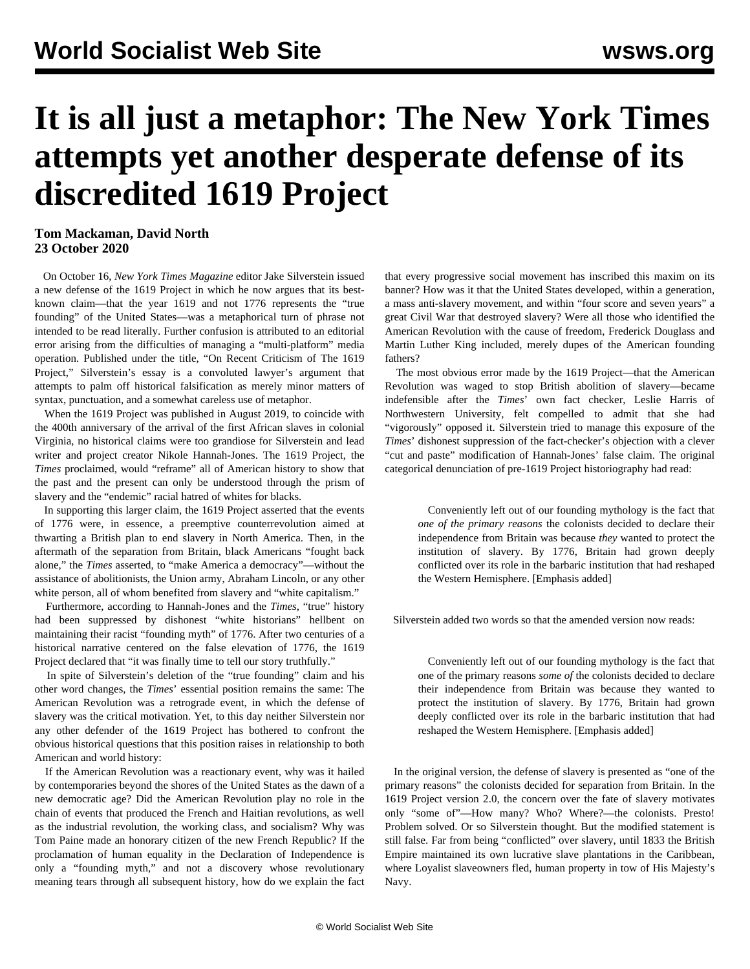## **It is all just a metaphor: The New York Times attempts yet another desperate defense of its discredited 1619 Project**

## **Tom Mackaman, David North 23 October 2020**

 On October 16, *New York Times Magazine* editor Jake Silverstein issued a new defense of the 1619 Project in which he now argues that its bestknown claim—that the year 1619 and not 1776 represents the "true founding" of the United States—was a metaphorical turn of phrase not intended to be read literally. Further confusion is attributed to an editorial error arising from the difficulties of managing a "multi-platform" media operation. Published under the title, "On Recent Criticism of The 1619 Project," Silverstein's essay is a convoluted lawyer's argument that attempts to palm off historical falsification as merely minor matters of syntax, punctuation, and a somewhat careless use of metaphor.

 When the 1619 Project was published in August 2019, to coincide with the 400th anniversary of the arrival of the first African slaves in colonial Virginia, no historical claims were too grandiose for Silverstein and lead writer and project creator Nikole Hannah-Jones. The 1619 Project, the *Times* proclaimed, would "reframe" all of American history to show that the past and the present can only be understood through the prism of slavery and the "endemic" racial hatred of whites for blacks.

 In supporting this larger claim, the 1619 Project asserted that the events of 1776 were, in essence, a preemptive counterrevolution aimed at thwarting a British plan to end slavery in North America. Then, in the aftermath of the separation from Britain, black Americans "fought back alone," the *Times* asserted, to "make America a democracy"—without the assistance of abolitionists, the Union army, Abraham Lincoln, or any other white person, all of whom benefited from slavery and "white capitalism."

 Furthermore, according to Hannah-Jones and the *Times*, "true" history had been suppressed by dishonest "white historians" hellbent on maintaining their racist "founding myth" of 1776. After two centuries of a historical narrative centered on the false elevation of 1776, the 1619 Project declared that "it was finally time to tell our story truthfully."

 In spite of Silverstein's deletion of the "true founding" claim and his other word changes, the *Times*' essential position remains the same: The American Revolution was a retrograde event, in which the defense of slavery was the critical motivation. Yet, to this day neither Silverstein nor any other defender of the 1619 Project has bothered to confront the obvious historical questions that this position raises in relationship to both American and world history:

 If the American Revolution was a reactionary event, why was it hailed by contemporaries beyond the shores of the United States as the dawn of a new democratic age? Did the American Revolution play no role in the chain of events that produced the French and Haitian revolutions, as well as the industrial revolution, the working class, and socialism? Why was Tom Paine made an honorary citizen of the new French Republic? If the proclamation of human equality in the Declaration of Independence is only a "founding myth," and not a discovery whose revolutionary meaning tears through all subsequent history, how do we explain the fact that every progressive social movement has inscribed this maxim on its banner? How was it that the United States developed, within a generation, a mass anti-slavery movement, and within "four score and seven years" a great Civil War that destroyed slavery? Were all those who identified the American Revolution with the cause of freedom, Frederick Douglass and Martin Luther King included, merely dupes of the American founding fathers?

 The most obvious error made by the 1619 Project—that the American Revolution was waged to stop British abolition of slavery—became indefensible after the *Times*' own fact checker, Leslie Harris of Northwestern University, felt compelled to admit that she had "vigorously" opposed it. Silverstein tried to manage this exposure of the *Times*' dishonest suppression of the fact-checker's objection with a clever "cut and paste" modification of Hannah-Jones' false claim. The original categorical denunciation of pre-1619 Project historiography had read:

 Conveniently left out of our founding mythology is the fact that *one of the primary reasons* the colonists decided to declare their independence from Britain was because *they* wanted to protect the institution of slavery. By 1776, Britain had grown deeply conflicted over its role in the barbaric institution that had reshaped the Western Hemisphere. [Emphasis added]

Silverstein added two words so that the amended version now reads:

 Conveniently left out of our founding mythology is the fact that one of the primary reasons *some of* the colonists decided to declare their independence from Britain was because they wanted to protect the institution of slavery. By 1776, Britain had grown deeply conflicted over its role in the barbaric institution that had reshaped the Western Hemisphere. [Emphasis added]

 In the original version, the defense of slavery is presented as "one of the primary reasons" the colonists decided for separation from Britain. In the 1619 Project version 2.0, the concern over the fate of slavery motivates only "some of"—How many? Who? Where?—the colonists. Presto! Problem solved. Or so Silverstein thought. But the modified statement is still false. Far from being "conflicted" over slavery, until 1833 the British Empire maintained its own lucrative slave plantations in the Caribbean, where Loyalist slaveowners fled, human property in tow of His Majesty's Navy.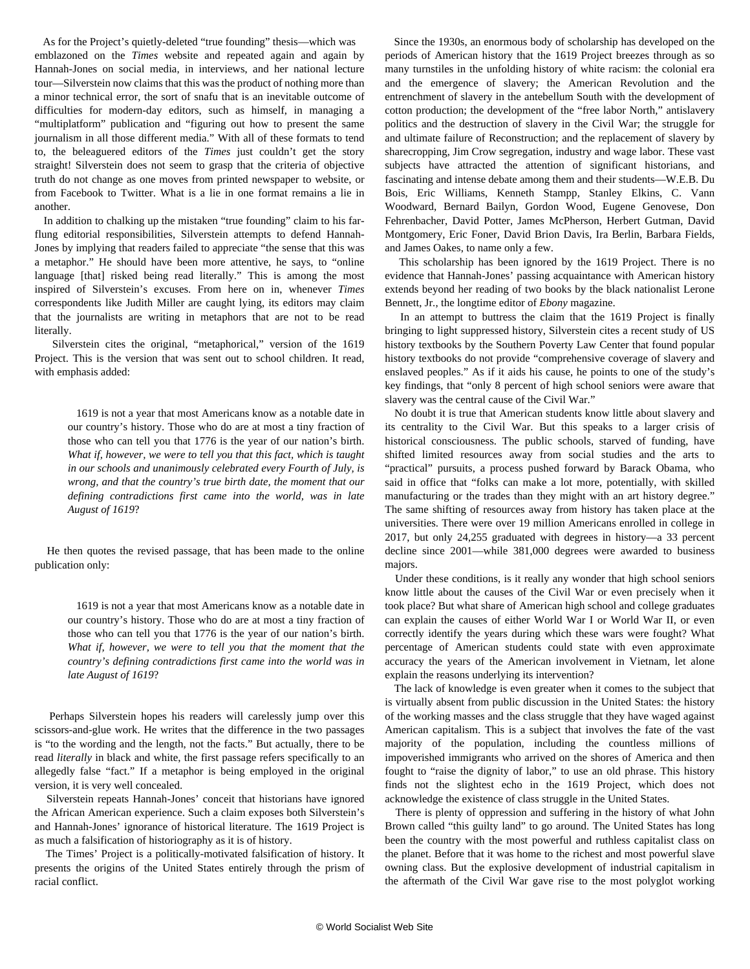As for the Project's quietly-deleted "true founding" thesis—which was emblazoned on the *Times* website and repeated again and again by Hannah-Jones on social media, in interviews, and her national lecture tour—Silverstein now claims that this was the product of nothing more than a minor technical error, the sort of snafu that is an inevitable outcome of difficulties for modern-day editors, such as himself, in managing a "multiplatform" publication and "figuring out how to present the same journalism in all those different media." With all of these formats to tend to, the beleaguered editors of the *Times* just couldn't get the story straight! Silverstein does not seem to grasp that the criteria of objective truth do not change as one moves from printed newspaper to website, or from Facebook to Twitter. What is a lie in one format remains a lie in another.

 In addition to chalking up the mistaken "true founding" claim to his farflung editorial responsibilities, Silverstein attempts to defend Hannah-Jones by implying that readers failed to appreciate "the sense that this was a metaphor." He should have been more attentive, he says, to "online language [that] risked being read literally." This is among the most inspired of Silverstein's excuses. From here on in, whenever *Times* correspondents like Judith Miller are caught lying, its editors may claim that the journalists are writing in metaphors that are not to be read literally.

 Silverstein cites the original, "metaphorical," version of the 1619 Project. This is the version that was sent out to school children. It read, with emphasis added:

 1619 is not a year that most Americans know as a notable date in our country's history. Those who do are at most a tiny fraction of those who can tell you that 1776 is the year of our nation's birth. *What if, however, we were to tell you that this fact, which is taught in our schools and unanimously celebrated every Fourth of July, is wrong, and that the country's true birth date, the moment that our defining contradictions first came into the world, was in late August of 1619*?

 He then quotes the revised passage, that has been made to the online publication only:

> 1619 is not a year that most Americans know as a notable date in our country's history. Those who do are at most a tiny fraction of those who can tell you that 1776 is the year of our nation's birth. *What if, however, we were to tell you that the moment that the country's defining contradictions first came into the world was in late August of 1619*?

 Perhaps Silverstein hopes his readers will carelessly jump over this scissors-and-glue work. He writes that the difference in the two passages is "to the wording and the length, not the facts." But actually, there to be read *literally* in black and white, the first passage refers specifically to an allegedly false "fact." If a metaphor is being employed in the original version, it is very well concealed.

 Silverstein repeats Hannah-Jones' conceit that historians have ignored the African American experience. Such a claim exposes both Silverstein's and Hannah-Jones' ignorance of historical literature. The 1619 Project is as much a falsification of historiography as it is of history.

 The Times' Project is a politically-motivated falsification of history. It presents the origins of the United States entirely through the prism of racial conflict.

 Since the 1930s, an enormous body of scholarship has developed on the periods of American history that the 1619 Project breezes through as so many turnstiles in the unfolding history of white racism: the colonial era and the emergence of slavery; the American Revolution and the entrenchment of slavery in the antebellum South with the development of cotton production; the development of the "free labor North," antislavery politics and the destruction of slavery in the Civil War; the struggle for and ultimate failure of Reconstruction; and the replacement of slavery by sharecropping, Jim Crow segregation, industry and wage labor. These vast subjects have attracted the attention of significant historians, and fascinating and intense debate among them and their students—W.E.B. Du Bois, Eric Williams, Kenneth Stampp, Stanley Elkins, C. Vann Woodward, Bernard Bailyn, Gordon Wood, Eugene Genovese, Don Fehrenbacher, David Potter, James McPherson, Herbert Gutman, David Montgomery, Eric Foner, David Brion Davis, Ira Berlin, Barbara Fields, and James Oakes, to name only a few.

 This scholarship has been ignored by the 1619 Project. There is no evidence that Hannah-Jones' passing acquaintance with American history extends beyond her reading of two books by the black nationalist Lerone Bennett, Jr., the longtime editor of *Ebony* magazine.

 In an attempt to buttress the claim that the 1619 Project is finally bringing to light suppressed history, Silverstein cites a recent study of US history textbooks by the Southern Poverty Law Center that found popular history textbooks do not provide "comprehensive coverage of slavery and enslaved peoples." As if it aids his cause, he points to one of the study's key findings, that "only 8 percent of high school seniors were aware that slavery was the central cause of the Civil War."

 No doubt it is true that American students know little about slavery and its centrality to the Civil War. But this speaks to a larger crisis of historical consciousness. The public schools, starved of funding, have shifted limited resources away from social studies and the arts to "practical" pursuits, a process pushed forward by Barack Obama, who said in office that "folks can make a lot more, potentially, with skilled manufacturing or the trades than they might with an art history degree." The same shifting of resources away from history has taken place at the universities. There were over 19 million Americans enrolled in college in 2017, but only 24,255 graduated with degrees in history—a 33 percent decline since 2001—while 381,000 degrees were awarded to business majors.

 Under these conditions, is it really any wonder that high school seniors know little about the causes of the Civil War or even precisely when it took place? But what share of American high school and college graduates can explain the causes of either World War I or World War II, or even correctly identify the years during which these wars were fought? What percentage of American students could state with even approximate accuracy the years of the American involvement in Vietnam, let alone explain the reasons underlying its intervention?

 The lack of knowledge is even greater when it comes to the subject that is virtually absent from public discussion in the United States: the history of the working masses and the class struggle that they have waged against American capitalism. This is a subject that involves the fate of the vast majority of the population, including the countless millions of impoverished immigrants who arrived on the shores of America and then fought to "raise the dignity of labor," to use an old phrase. This history finds not the slightest echo in the 1619 Project, which does not acknowledge the existence of class struggle in the United States.

 There is plenty of oppression and suffering in the history of what John Brown called "this guilty land" to go around. The United States has long been the country with the most powerful and ruthless capitalist class on the planet. Before that it was home to the richest and most powerful slave owning class. But the explosive development of industrial capitalism in the aftermath of the Civil War gave rise to the most polyglot working